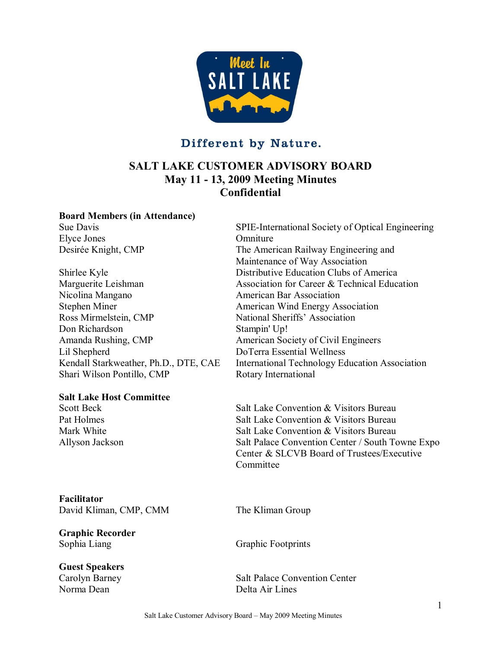

# Different by Nature.

# **SALT LAKE CUSTOMER ADVISORY BOARD May 11 13, 2009 Meeting Minutes Confidential**

#### **Board Members (in Attendance)**

Elyce Jones Omniture

Nicolina Mangano American Bar Association Stephen Miner **American Wind Energy Association** Ross Mirmelstein, CMP National Sheriffs' Association Don Richardson Stampin' Up! Amanda Rushing, CMP American Society of Civil Engineers Lil Shepherd DoTerra Essential Wellness Shari Wilson Pontillo, CMP Rotary International

#### **Salt Lake Host Committee**

**Facilitator** David Kliman, CMP, CMM The Kliman Group

**Graphic Recorder** Sophia Liang Graphic Footprints

### **Guest Speakers**

Norma Dean Delta Air Lines

Sue Davis SPIE-International Society of Optical Engineering Desirée Knight, CMP The American Railway Engineering and Maintenance of Way Association Shirlee Kyle Distributive Education Clubs of America Marguerite Leishman Marguerite Leishman Association for Career & Technical Education Kendall Starkweather, Ph.D., DTE, CAE International Technology Education Association

Scott Beck<br>
Salt Lake Convention & Visitors Bureau<br>
Salt Lake Convention & Visitors Bureau<br>
Salt Lake Convention & Visitors Bureau Salt Lake Convention & Visitors Bureau Mark White **Salt Lake Convention & Visitors Bureau** Allyson Jackson Salt Palace Convention Center / South Towne Expo Center & SLCVB Board of Trustees/Executive **Committee** 

Carolyn Barney Salt Palace Convention Center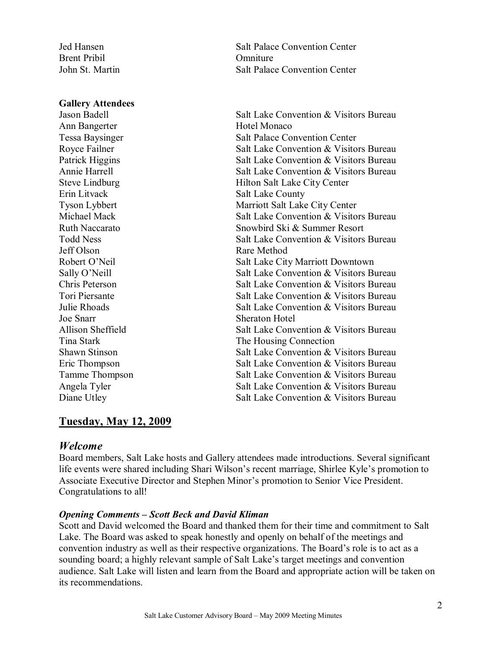Brent Pribil **Omniture** 

#### **Gallery Attendees**

Ann Bangerter Hotel Monaco<br>Tessa Baysinger Salt Palace Co Erin Litvack Salt Lake County Jeff Olson Rare Method Joe Snarr Sheraton Hotel

Jed Hansen Salt Palace Convention Center John St. Martin Salt Palace Convention Center

Jason Badell Salt Lake Convention & Visitors Bureau Salt Palace Convention Center Royce Failner<br>
Royce Failner<br>
Salt Lake Convention & Visitors Bureau<br>
Salt Lake Convention & Visitors Bureau Salt Lake Convention & Visitors Bureau Annie Harrell Salt Lake Convention & Visitors Bureau Steve Lindburg Hilton Salt Lake City Center Tyson Lybbert Marriott Salt Lake City Center<br>Michael Mack Salt Lake Convention & Visito Salt Lake Convention & Visitors Bureau Ruth Naccarato<br>
Todd Ness<br>
Todd Ness<br>
Salt Lake Convention & Visitors Salt Lake Convention & Visitors Bureau Robert O'Neil Salt Lake City Marriott Downtown Sally O'Neill Salt Lake Convention & Visitors Bureau Chris Peterson Salt Lake Convention & Visitors Bureau Tori Piersante **Salt Lake Convention & Visitors Bureau** Julie Rhoads Salt Lake Convention & Visitors Bureau Allison Sheffield Salt Lake Convention & Visitors Bureau Tina Stark Tina Stark The Housing Connection<br>Shawn Stinson<br>Salt Lake Convention & N Salt Lake Convention & Visitors Bureau Eric Thompson Salt Lake Convention & Visitors Bureau Tamme Thompson Salt Lake Convention & Visitors Bureau Angela Tyler Salt Lake Convention & Visitors Bureau Diane Utley Salt Lake Convention & Visitors Bureau

## **Tuesday, May 12, 2009**

### *Welcome*

Board members, Salt Lake hosts and Gallery attendees made introductions. Several significant life events were shared including Shari Wilson's recent marriage, Shirlee Kyle's promotion to Associate Executive Director and Stephen Minor's promotion to Senior Vice President. Congratulations to all!

#### *Opening Comments – Scott Beck and David Kliman*

Scott and David welcomed the Board and thanked them for their time and commitment to Salt Lake. The Board was asked to speak honestly and openly on behalf of the meetings and convention industry as well as their respective organizations. The Board's role is to act as a sounding board; a highly relevant sample of Salt Lake's target meetings and convention audience. Salt Lake will listen and learn from the Board and appropriate action will be taken on its recommendations.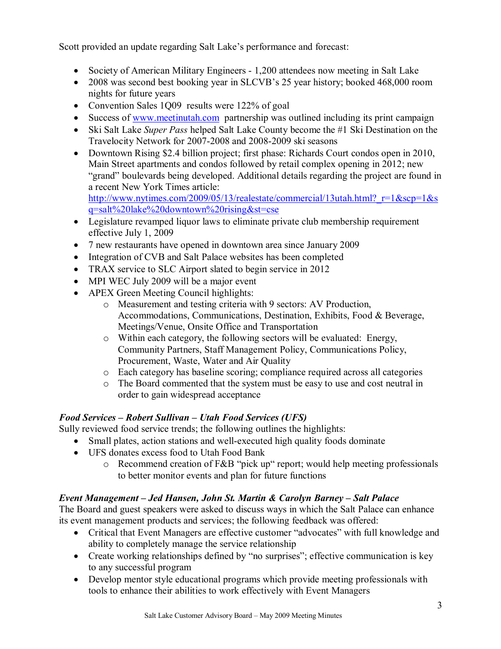Scott provided an update regarding Salt Lake's performance and forecast:

- Society of American Military Engineers 1,200 attendees now meeting in Salt Lake
- · 2008 was second best booking year in SLCVB's 25 year history; booked 468,000 room nights for future years
- Convention Sales 1009 results were 122% of goal
- Success of [www.meetinutah.com](http://www.meetinutah.com/) partnership was outlined including its print campaign
- · Ski Salt Lake *Super Pass* helped Salt Lake County become the #1 Ski Destination on the Travelocity Network for 2007-2008 and 2008-2009 ski seasons
- · Downtown Rising \$2.4 billion project; first phase: Richards Court condos open in 2010, Main Street apartments and condos followed by retail complex opening in 2012; new "grand" boulevards being developed. Additional details regarding the project are found in a recent New York Times article: http://www.nytimes.com/2009/05/13/realestate/commercial/13utah.html?  $r=1$ &scp=1&s

q=salt%20lake%20downtown%20rising&st=cse

- · Legislature revamped liquor laws to eliminate private club membership requirement effective July 1, 2009
- · 7 new restaurants have opened in downtown area since January 2009
- Integration of CVB and Salt Palace websites has been completed
- TRAX service to SLC Airport slated to begin service in 2012
- MPI WEC July 2009 will be a major event
- APEX Green Meeting Council highlights:
	- o Measurement and testing criteria with 9 sectors: AV Production, Accommodations, Communications, Destination, Exhibits, Food & Beverage, Meetings/Venue, Onsite Office and Transportation
	- o Within each category, the following sectors will be evaluated: Energy, Community Partners, Staff Management Policy, Communications Policy, Procurement, Waste, Water and Air Quality
	- o Each category has baseline scoring; compliance required across all categories
	- o The Board commented that the system must be easy to use and cost neutral in order to gain widespread acceptance

## *Food Services – Robert Sullivan – Utah Food Services (UFS)*

Sully reviewed food service trends; the following outlines the highlights:

- Small plates, action stations and well-executed high quality foods dominate
- · UFS donates excess food to Utah Food Bank
	- o Recommend creation of F&B "pick up" report; would help meeting professionals to better monitor events and plan for future functions

## *Event Management – Jed Hansen, John St. Martin & Carolyn Barney – Salt Palace*

The Board and guest speakers were asked to discuss ways in which the Salt Palace can enhance its event management products and services; the following feedback was offered:

- · Critical that Event Managers are effective customer "advocates" with full knowledge and ability to completely manage the service relationship
- Create working relationships defined by "no surprises"; effective communication is key to any successful program
- · Develop mentor style educational programs which provide meeting professionals with tools to enhance their abilities to work effectively with Event Managers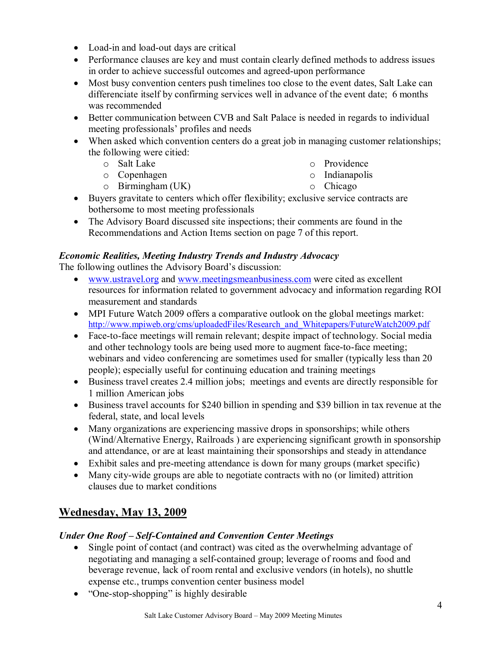- Load-in and load-out days are critical
- Performance clauses are key and must contain clearly defined methods to address issues in order to achieve successful outcomes and agreed-upon performance
- · Most busy convention centers push timelines too close to the event dates, Salt Lake can differenciate itself by confirming services well in advance of the event date; 6 months was recommended
- Better communication between CVB and Salt Palace is needed in regards to individual meeting professionals' profiles and needs
- When asked which convention centers do a great job in managing customer relationships; the following were citied:
	- o Salt Lake
		- o Providence o Indianapolis

o Copenhagen o Birmingham (UK)

- o Chicago
- · Buyers gravitate to centers which offer flexibility; exclusive service contracts are bothersome to most meeting professionals
- The Advisory Board discussed site inspections; their comments are found in the Recommendations and Action Items section on page 7 of this report.

### *Economic Realities, Meeting Industry Trends and Industry Advocacy*

The following outlines the Advisory Board's discussion:

- · [www.ustravel.org](http://www.ustravel.org/) and [www.meetingsmeanbusiness.com](http://www.meetingsmeanbusiness.com/) were cited as excellent resources for information related to government advocacy and information regarding ROI measurement and standards
- MPI Future Watch 2009 offers a comparative outlook on the global meetings market: [http://www.mpiweb.org/cms/uploadedFiles/Research\\_and\\_Whitepapers/FutureWatch2009.pdf](http://www.mpiweb.org/cms/uploadedFiles/Research_and_Whitepapers/FutureWatch2009.pdf)
- Face-to-face meetings will remain relevant; despite impact of technology. Social media and other technology tools are being used more to augment face-to-face meeting; webinars and video conferencing are sometimes used for smaller (typically less than 20 people); especially useful for continuing education and training meetings
- · Business travel creates 2.4 million jobs; meetings and events are directly responsible for 1 million American jobs
- · Business travel accounts for \$240 billion in spending and \$39 billion in tax revenue at the federal, state, and local levels
- · Many organizations are experiencing massive drops in sponsorships; while others (Wind/Alternative Energy, Railroads ) are experiencing significant growth in sponsorship and attendance, or are at least maintaining their sponsorships and steady in attendance
- Exhibit sales and pre-meeting attendance is down for many groups (market specific)
- Many city-wide groups are able to negotiate contracts with no (or limited) attrition clauses due to market conditions

# **Wednesday, May 13, 2009**

## *<i>Under One Roof – Self-Contained and Convention Center Meetings*

- Single point of contact (and contract) was cited as the overwhelming advantage of negotiating and managing a self-contained group; leverage of rooms and food and beverage revenue, lack of room rental and exclusive vendors (in hotels), no shuttle expense etc., trumps convention center business model
- "One-stop-shopping" is highly desirable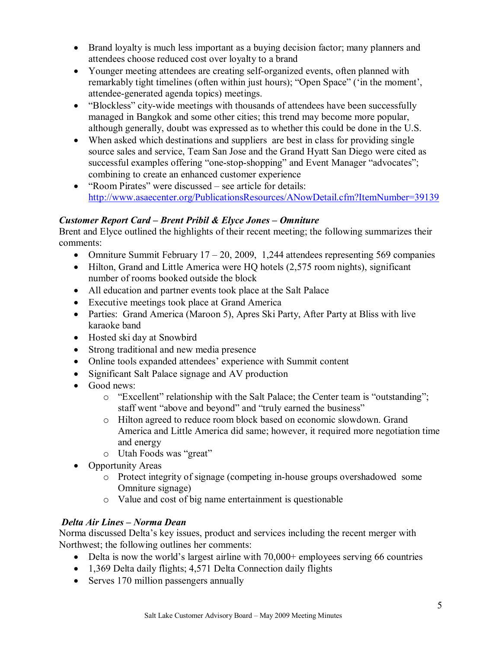- Brand loyalty is much less important as a buying decision factor; many planners and attendees choose reduced cost over loyalty to a brand
- Younger meeting attendees are creating self-organized events, often planned with remarkably tight timelines (often within just hours); "Open Space" ('in the moment', attendee-generated agenda topics) meetings.
- "Blockless" city-wide meetings with thousands of attendees have been successfully managed in Bangkok and some other cities; this trend may become more popular, although generally, doubt was expressed as to whether this could be done in the U.S.
- When asked which destinations and suppliers are best in class for providing single source sales and service, Team San Jose and the Grand Hyatt San Diego were cited as successful examples offering "one-stop-shopping" and Event Manager "advocates"; combining to create an enhanced customer experience
- · "Room Pirates" were discussed see article for details: <http://www.asaecenter.org/PublicationsResources/ANowDetail.cfm?ItemNumber=39139>

## *Customer Report Card – Brent Pribil & Elyce Jones – Omniture*

Brent and Elyce outlined the highlights of their recent meeting; the following summarizes their comments:

- Omniture Summit February  $17 20$ , 2009, 1,244 attendees representing 569 companies
- Hilton, Grand and Little America were HO hotels (2,575 room nights), significant number of rooms booked outside the block
- · All education and partner events took place at the Salt Palace
- Executive meetings took place at Grand America
- Parties: Grand America (Maroon 5), Apres Ski Party, After Party at Bliss with live karaoke band
- Hosted ski day at Snowbird
- Strong traditional and new media presence
- · Online tools expanded attendees' experience with Summit content
- Significant Salt Palace signage and AV production
- Good news:
	- o "Excellent" relationship with the Salt Palace; the Center team is "outstanding"; staff went "above and beyond" and "truly earned the business"
	- o Hilton agreed to reduce room block based on economic slowdown. Grand America and Little America did same; however, it required more negotiation time and energy
	- o Utah Foods was "great"
- Opportunity Areas
	- o Protect integrity of signage (competing in-house groups overshadowed some Omniture signage)
	- o Value and cost of big name entertainment is questionable

# *Delta Air Lines – Norma Dean*

Norma discussed Delta's key issues, product and services including the recent merger with Northwest; the following outlines her comments:

- Delta is now the world's largest airline with 70,000+ employees serving 66 countries
- 1,369 Delta daily flights; 4,571 Delta Connection daily flights
- Serves 170 million passengers annually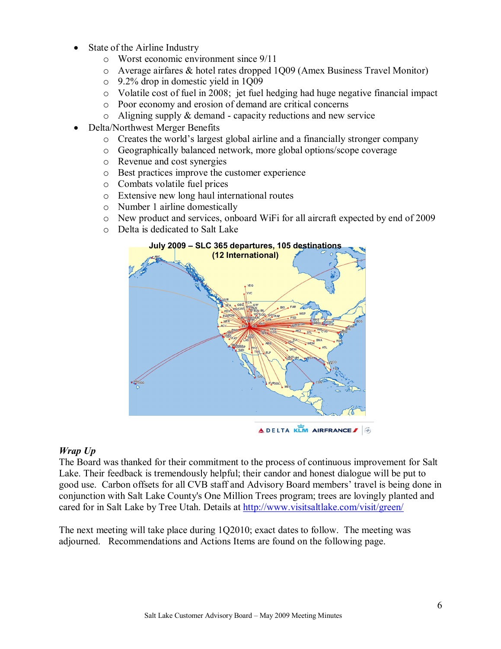- State of the Airline Industry
	- o Worst economic environment since 9/11
	- o Average airfares & hotel rates dropped 1Q09 (Amex Business Travel Monitor)
	- o 9.2% drop in domestic yield in 1Q09
	- o Volatile cost of fuel in 2008; jet fuel hedging had huge negative financial impact
	- o Poor economy and erosion of demand are critical concerns
	- $\circ$  Aligning supply & demand capacity reductions and new service
- Delta/Northwest Merger Benefits
	- o Creates the world's largest global airline and a financially stronger company
	- o Geographically balanced network, more global options/scope coverage
	- o Revenue and cost synergies
	- o Best practices improve the customer experience
	- o Combats volatile fuel prices
	- o Extensive new long haul international routes
	- o Number 1 airline domestically
	- o New product and services, onboard WiFi for all aircraft expected by end of 2009
	- o Delta is dedicated to Salt Lake



**ADELTA KLM AIRFRANCE** 

### *Wrap Up*

The Board was thanked for their commitment to the process of continuous improvement for Salt Lake. Their feedback is tremendously helpful; their candor and honest dialogue will be put to good use. Carbon offsets for all CVB staff and Advisory Board members' travel is being done in conjunction with Salt Lake County's One Million Trees program; trees are lovingly planted and cared for in Salt Lake by Tree Utah. Details at <http://www.visitsaltlake.com/visit/green/>

The next meeting will take place during 1Q2010; exact dates to follow. The meeting was adjourned. Recommendations and Actions Items are found on the following page.